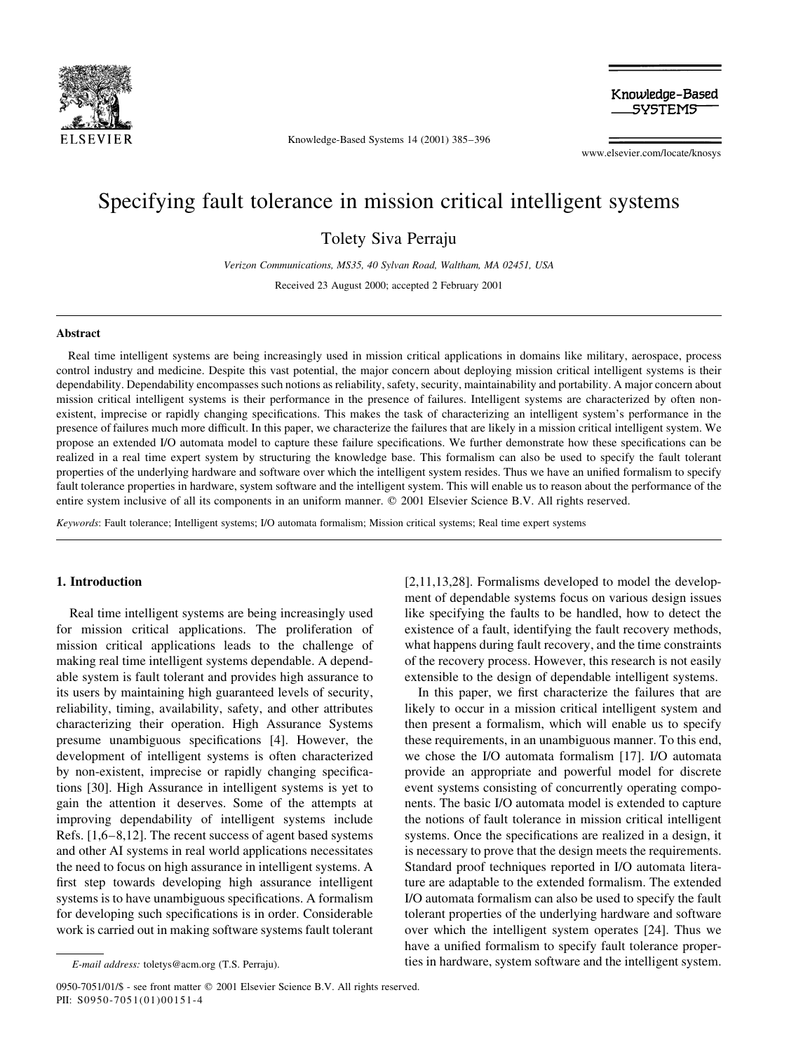

Knowledge-Based Systems 14 (2001) 385-396

Knowledge-Based **SYSTEMS** 

www.elsevier.com/locate/knosys

## Specifying fault tolerance in mission critical intelligent systems

**Tolety Siva Perraju** 

Verizon Communications, MS35, 40 Sylvan Road, Waltham, MA 02451, USA

Received 23 August 2000; accepted 2 February 2001

### Abstract

Real time intelligent systems are being increasingly used in mission critical applications in domains like military, aerospace, process control industry and medicine. Despite this vast potential, the major concern about deploying mission critical intelligent systems is their dependability. Dependability encompasses such notions as reliability, safety, security, maintainability and portability. A major concern about mission critical intelligent systems is their performance in the presence of failures. Intelligent systems are characterized by often nonexistent, imprecise or rapidly changing specifications. This makes the task of characterizing an intelligent system's performance in the presence of failures much more difficult. In this paper, we characterize the failures that are likely in a mission critical intelligent system. We propose an extended I/O automata model to capture these failure specifications. We further demonstrate how these specifications can be realized in a real time expert system by structuring the knowledge base. This formalism can also be used to specify the fault tolerant properties of the underlying hardware and software over which the intelligent system resides. Thus we have an unified formalism to specify fault tolerance properties in hardware, system software and the intelligent system. This will enable us to reason about the performance of the entire system inclusive of all its components in an uniform manner. © 2001 Elsevier Science B.V. All rights reserved.

Keywords: Fault tolerance; Intelligent systems; I/O automata formalism; Mission critical systems; Real time expert systems

#### 1. Introduction

Real time intelligent systems are being increasingly used for mission critical applications. The proliferation of mission critical applications leads to the challenge of making real time intelligent systems dependable. A dependable system is fault tolerant and provides high assurance to its users by maintaining high guaranteed levels of security, reliability, timing, availability, safety, and other attributes characterizing their operation. High Assurance Systems presume unambiguous specifications [4]. However, the development of intelligent systems is often characterized by non-existent, imprecise or rapidly changing specifications [30]. High Assurance in intelligent systems is yet to gain the attention it deserves. Some of the attempts at improving dependability of intelligent systems include Refs.  $[1,6-8,12]$ . The recent success of agent based systems and other AI systems in real world applications necessitates the need to focus on high assurance in intelligent systems. A first step towards developing high assurance intelligent systems is to have unambiguous specifications. A formalism for developing such specifications is in order. Considerable work is carried out in making software systems fault tolerant

[2,11,13,28]. Formalisms developed to model the development of dependable systems focus on various design issues like specifying the faults to be handled, how to detect the existence of a fault, identifying the fault recovery methods, what happens during fault recovery, and the time constraints of the recovery process. However, this research is not easily extensible to the design of dependable intelligent systems.

In this paper, we first characterize the failures that are likely to occur in a mission critical intelligent system and then present a formalism, which will enable us to specify these requirements, in an unambiguous manner. To this end, we chose the I/O automata formalism [17]. I/O automata provide an appropriate and powerful model for discrete event systems consisting of concurrently operating components. The basic I/O automata model is extended to capture the notions of fault tolerance in mission critical intelligent systems. Once the specifications are realized in a design, it is necessary to prove that the design meets the requirements. Standard proof techniques reported in I/O automata literature are adaptable to the extended formalism. The extended I/O automata formalism can also be used to specify the fault tolerant properties of the underlying hardware and software over which the intelligent system operates [24]. Thus we have a unified formalism to specify fault tolerance properties in hardware, system software and the intelligent system.

E-mail address: toletys@acm.org (T.S. Perraju).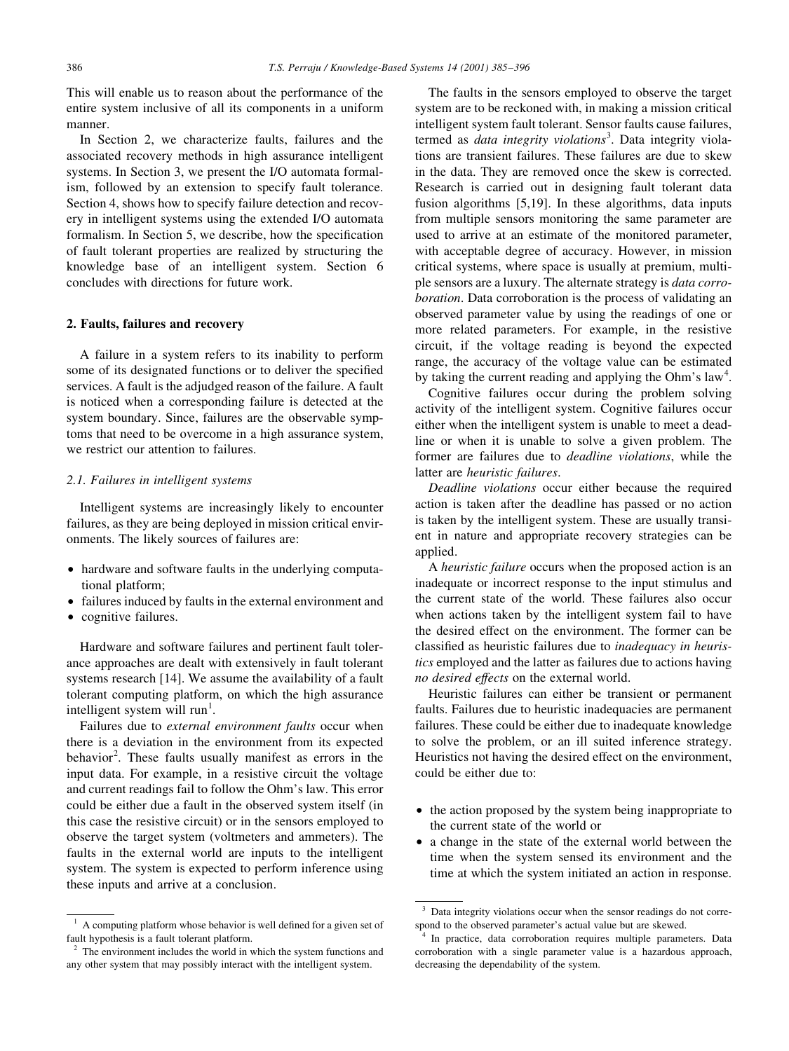This will enable us to reason about the performance of the entire system inclusive of all its components in a uniform manner.

In Section 2, we characterize faults, failures and the associated recovery methods in high assurance intelligent systems. In Section 3, we present the I/O automata formalism, followed by an extension to specify fault tolerance. Section 4, shows how to specify failure detection and recovery in intelligent systems using the extended I/O automata formalism. In Section 5, we describe, how the specification of fault tolerant properties are realized by structuring the knowledge base of an intelligent system. Section 6 concludes with directions for future work.

#### 2. Faults, failures and recovery

A failure in a system refers to its inability to perform some of its designated functions or to deliver the specified services. A fault is the adjudged reason of the failure. A fault is noticed when a corresponding failure is detected at the system boundary. Since, failures are the observable symptoms that need to be overcome in a high assurance system, we restrict our attention to failures.

#### 2.1. Failures in intelligent systems

Intelligent systems are increasingly likely to encounter failures, as they are being deployed in mission critical environments. The likely sources of failures are:

- hardware and software faults in the underlying computational platform;
- failures induced by faults in the external environment and
- cognitive failures.

Hardware and software failures and pertinent fault tolerance approaches are dealt with extensively in fault tolerant systems research [14]. We assume the availability of a fault tolerant computing platform, on which the high assurance intelligent system will run<sup>1</sup>.

Failures due to external environment faults occur when there is a deviation in the environment from its expected behavior<sup>2</sup>. These faults usually manifest as errors in the input data. For example, in a resistive circuit the voltage and current readings fail to follow the Ohm's law. This error could be either due a fault in the observed system itself (in this case the resistive circuit) or in the sensors employed to observe the target system (voltmeters and ammeters). The faults in the external world are inputs to the intelligent system. The system is expected to perform inference using these inputs and arrive at a conclusion.

The faults in the sensors employed to observe the target system are to be reckoned with, in making a mission critical intelligent system fault tolerant. Sensor faults cause failures, termed as *data integrity violations*<sup>3</sup>. Data integrity violations are transient failures. These failures are due to skew in the data. They are removed once the skew is corrected. Research is carried out in designing fault tolerant data fusion algorithms [5,19]. In these algorithms, data inputs from multiple sensors monitoring the same parameter are used to arrive at an estimate of the monitored parameter, with acceptable degree of accuracy. However, in mission critical systems, where space is usually at premium, multiple sensors are a luxury. The alternate strategy is *data corroboration*. Data corroboration is the process of validating an observed parameter value by using the readings of one or more related parameters. For example, in the resistive circuit, if the voltage reading is beyond the expected range, the accuracy of the voltage value can be estimated by taking the current reading and applying the Ohm's law<sup>4</sup>.

Cognitive failures occur during the problem solving activity of the intelligent system. Cognitive failures occur either when the intelligent system is unable to meet a deadline or when it is unable to solve a given problem. The former are failures due to *deadline violations*, while the latter are *heuristic failures*.

Deadline violations occur either because the required action is taken after the deadline has passed or no action is taken by the intelligent system. These are usually transient in nature and appropriate recovery strategies can be applied.

A heuristic failure occurs when the proposed action is an inadequate or incorrect response to the input stimulus and the current state of the world. These failures also occur when actions taken by the intelligent system fail to have the desired effect on the environment. The former can be classified as heuristic failures due to *inadequacy in heuris*tics employed and the latter as failures due to actions having no desired effects on the external world.

Heuristic failures can either be transient or permanent faults. Failures due to heuristic inadequacies are permanent failures. These could be either due to inadequate knowledge to solve the problem, or an ill suited inference strategy. Heuristics not having the desired effect on the environment, could be either due to:

- the action proposed by the system being inappropriate to the current state of the world or
- a change in the state of the external world between the time when the system sensed its environment and the time at which the system initiated an action in response.

A computing platform whose behavior is well defined for a given set of fault hypothesis is a fault tolerant platform.

 $2\degree$  The environment includes the world in which the system functions and any other system that may possibly interact with the intelligent system.

Data integrity violations occur when the sensor readings do not correspond to the observed parameter's actual value but are skewed.

In practice, data corroboration requires multiple parameters. Data corroboration with a single parameter value is a hazardous approach, decreasing the dependability of the system.